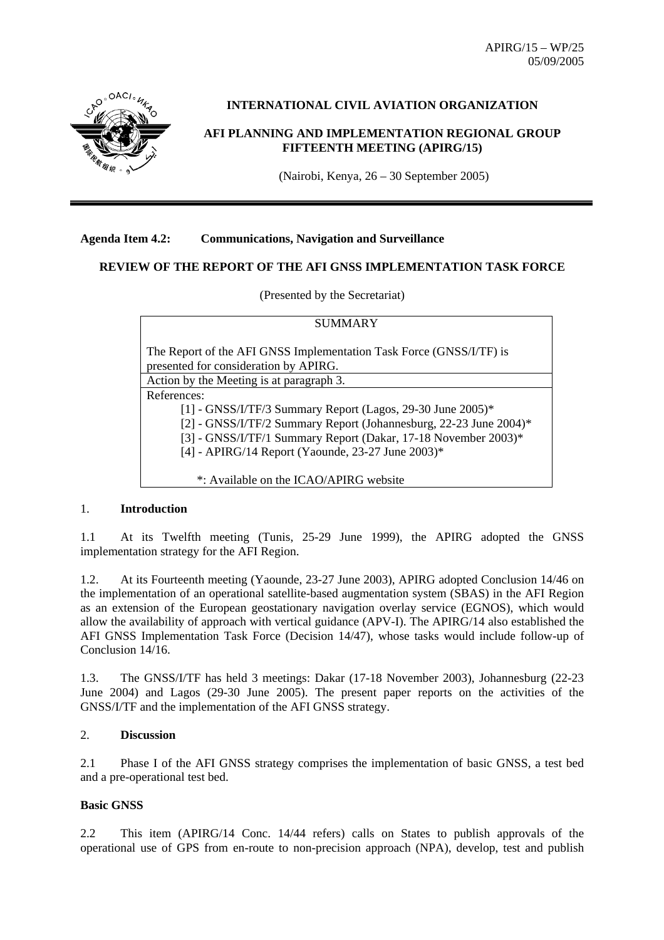APIRG/15 – WP/25 05/09/2005



#### **INTERNATIONAL CIVIL AVIATION ORGANIZATION**

#### **AFI PLANNING AND IMPLEMENTATION REGIONAL GROUP FIFTEENTH MEETING (APIRG/15)**

(Nairobi, Kenya, 26 – 30 September 2005)

#### **Agenda Item 4.2: Communications, Navigation and Surveillance**

#### **REVIEW OF THE REPORT OF THE AFI GNSS IMPLEMENTATION TASK FORCE**

(Presented by the Secretariat)

| SUMMARY                                                                                                                                                                                                                                                               |  |  |  |  |  |
|-----------------------------------------------------------------------------------------------------------------------------------------------------------------------------------------------------------------------------------------------------------------------|--|--|--|--|--|
| The Report of the AFI GNSS Implementation Task Force (GNSS/I/TF) is<br>presented for consideration by APIRG.                                                                                                                                                          |  |  |  |  |  |
| Action by the Meeting is at paragraph 3.                                                                                                                                                                                                                              |  |  |  |  |  |
| References:<br>[1] - GNSS/I/TF/3 Summary Report (Lagos, 29-30 June 2005)*<br>[2] - GNSS/I/TF/2 Summary Report (Johannesburg, 22-23 June 2004)*<br>[3] - GNSS/I/TF/1 Summary Report (Dakar, 17-18 November 2003)*<br>[4] - APIRG/14 Report (Yaounde, 23-27 June 2003)* |  |  |  |  |  |
| *: Available on the ICAO/APIRG website                                                                                                                                                                                                                                |  |  |  |  |  |

#### 1. **Introduction**

1.1 At its Twelfth meeting (Tunis, 25-29 June 1999), the APIRG adopted the GNSS implementation strategy for the AFI Region.

1.2. At its Fourteenth meeting (Yaounde, 23-27 June 2003), APIRG adopted Conclusion 14/46 on the implementation of an operational satellite-based augmentation system (SBAS) in the AFI Region as an extension of the European geostationary navigation overlay service (EGNOS), which would allow the availability of approach with vertical guidance (APV-I). The APIRG/14 also established the AFI GNSS Implementation Task Force (Decision 14/47), whose tasks would include follow-up of Conclusion 14/16.

1.3. The GNSS/I/TF has held 3 meetings: Dakar (17-18 November 2003), Johannesburg (22-23 June 2004) and Lagos (29-30 June 2005). The present paper reports on the activities of the GNSS/I/TF and the implementation of the AFI GNSS strategy.

#### 2. **Discussion**

2.1 Phase I of the AFI GNSS strategy comprises the implementation of basic GNSS, a test bed and a pre-operational test bed.

#### **Basic GNSS**

2.2 This item (APIRG/14 Conc. 14/44 refers) calls on States to publish approvals of the operational use of GPS from en-route to non-precision approach (NPA), develop, test and publish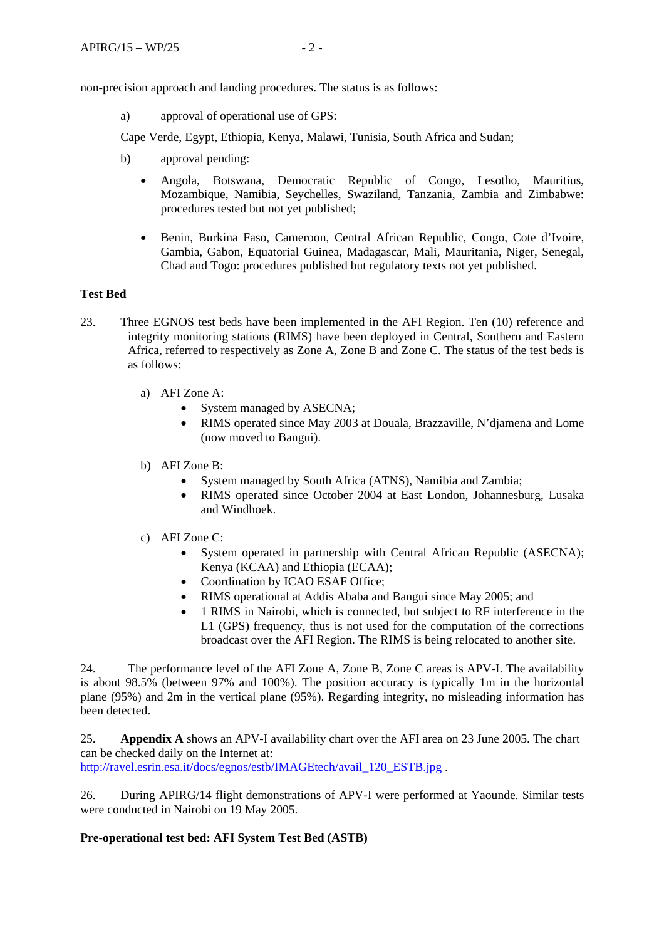non-precision approach and landing procedures. The status is as follows:

a) approval of operational use of GPS:

Cape Verde, Egypt, Ethiopia, Kenya, Malawi, Tunisia, South Africa and Sudan;

- b) approval pending:
	- Angola, Botswana, Democratic Republic of Congo, Lesotho, Mauritius, Mozambique, Namibia, Seychelles, Swaziland, Tanzania, Zambia and Zimbabwe: procedures tested but not yet published;
	- Benin, Burkina Faso, Cameroon, Central African Republic, Congo, Cote d'Ivoire, Gambia, Gabon, Equatorial Guinea, Madagascar, Mali, Mauritania, Niger, Senegal, Chad and Togo: procedures published but regulatory texts not yet published.

#### **Test Bed**

- 23. Three EGNOS test beds have been implemented in the AFI Region. Ten (10) reference and integrity monitoring stations (RIMS) have been deployed in Central, Southern and Eastern Africa, referred to respectively as Zone A, Zone B and Zone C. The status of the test beds is as follows:
	- a) AFI Zone A:
		- System managed by ASECNA;
		- RIMS operated since May 2003 at Douala, Brazzaville, N'djamena and Lome (now moved to Bangui).
	- b) AFI Zone B:
		- System managed by South Africa (ATNS), Namibia and Zambia;
		- RIMS operated since October 2004 at East London, Johannesburg, Lusaka and Windhoek.
	- c) AFI Zone C:
		- System operated in partnership with Central African Republic (ASECNA); Kenya (KCAA) and Ethiopia (ECAA);
		- Coordination by ICAO ESAF Office;
		- RIMS operational at Addis Ababa and Bangui since May 2005; and
		- 1 RIMS in Nairobi, which is connected, but subject to RF interference in the L1 (GPS) frequency, thus is not used for the computation of the corrections broadcast over the AFI Region. The RIMS is being relocated to another site.

24. The performance level of the AFI Zone A, Zone B, Zone C areas is APV-I. The availability is about 98.5% (between 97% and 100%). The position accuracy is typically 1m in the horizontal plane (95%) and 2m in the vertical plane (95%). Regarding integrity, no misleading information has been detected.

25. **Appendix A** shows an APV-I availability chart over the AFI area on 23 June 2005. The chart can be checked daily on the Internet at: http://ravel.esrin.esa.it/docs/egnos/estb/IMAGEtech/avail\_120\_ESTB.jpg.

26. During APIRG/14 flight demonstrations of APV-I were performed at Yaounde. Similar tests were conducted in Nairobi on 19 May 2005.

#### **Pre-operational test bed: AFI System Test Bed (ASTB)**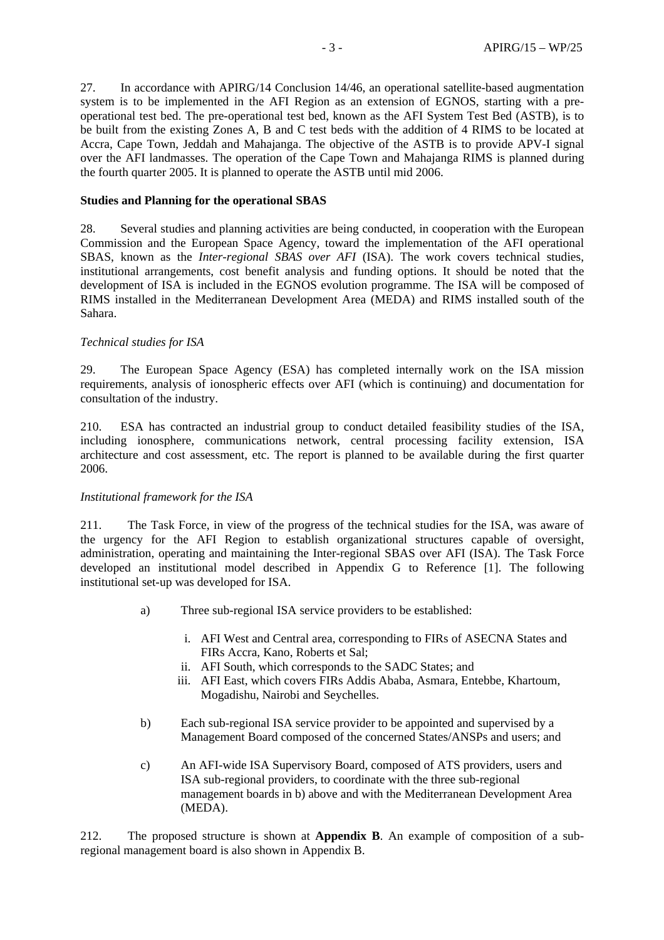27. In accordance with APIRG/14 Conclusion 14/46, an operational satellite-based augmentation system is to be implemented in the AFI Region as an extension of EGNOS, starting with a preoperational test bed. The pre-operational test bed, known as the AFI System Test Bed (ASTB), is to be built from the existing Zones A, B and C test beds with the addition of 4 RIMS to be located at Accra, Cape Town, Jeddah and Mahajanga. The objective of the ASTB is to provide APV-I signal over the AFI landmasses. The operation of the Cape Town and Mahajanga RIMS is planned during the fourth quarter 2005. It is planned to operate the ASTB until mid 2006.

#### **Studies and Planning for the operational SBAS**

28. Several studies and planning activities are being conducted, in cooperation with the European Commission and the European Space Agency, toward the implementation of the AFI operational SBAS, known as the *Inter-regional SBAS over AFI* (ISA). The work covers technical studies, institutional arrangements, cost benefit analysis and funding options. It should be noted that the development of ISA is included in the EGNOS evolution programme. The ISA will be composed of RIMS installed in the Mediterranean Development Area (MEDA) and RIMS installed south of the Sahara.

#### *Technical studies for ISA*

29. The European Space Agency (ESA) has completed internally work on the ISA mission requirements, analysis of ionospheric effects over AFI (which is continuing) and documentation for consultation of the industry.

210. ESA has contracted an industrial group to conduct detailed feasibility studies of the ISA, including ionosphere, communications network, central processing facility extension, ISA architecture and cost assessment, etc. The report is planned to be available during the first quarter 2006.

#### *Institutional framework for the ISA*

211. The Task Force, in view of the progress of the technical studies for the ISA, was aware of the urgency for the AFI Region to establish organizational structures capable of oversight, administration, operating and maintaining the Inter-regional SBAS over AFI (ISA). The Task Force developed an institutional model described in Appendix G to Reference [1]. The following institutional set-up was developed for ISA.

- a) Three sub-regional ISA service providers to be established:
	- i. AFI West and Central area, corresponding to FIRs of ASECNA States and FIRs Accra, Kano, Roberts et Sal;
	- ii. AFI South, which corresponds to the SADC States; and
	- iii. AFI East, which covers FIRs Addis Ababa, Asmara, Entebbe, Khartoum, Mogadishu, Nairobi and Seychelles.
- b) Each sub-regional ISA service provider to be appointed and supervised by a Management Board composed of the concerned States/ANSPs and users; and
- c) An AFI-wide ISA Supervisory Board, composed of ATS providers, users and ISA sub-regional providers, to coordinate with the three sub-regional management boards in b) above and with the Mediterranean Development Area (MEDA).

212. The proposed structure is shown at **Appendix B**. An example of composition of a subregional management board is also shown in Appendix B.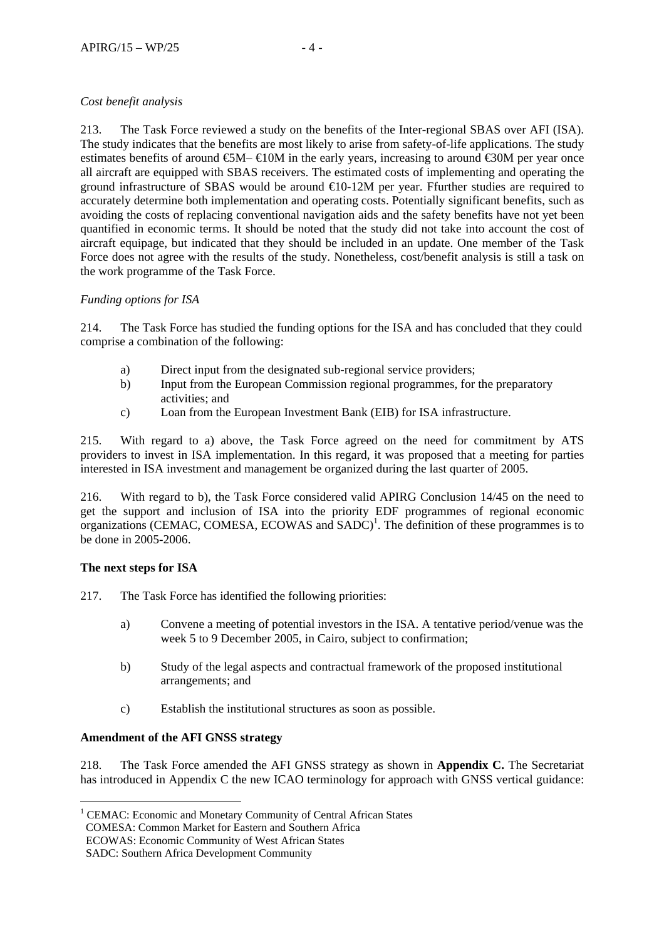#### *Cost benefit analysis*

213. The Task Force reviewed a study on the benefits of the Inter-regional SBAS over AFI (ISA). The study indicates that the benefits are most likely to arise from safety-of-life applications. The study estimates benefits of around  $\mathfrak{S}M-\mathfrak{A}0M$  in the early years, increasing to around  $\mathfrak{S}0M$  per year once all aircraft are equipped with SBAS receivers. The estimated costs of implementing and operating the ground infrastructure of SBAS would be around €10-12M per year. Ffurther studies are required to accurately determine both implementation and operating costs. Potentially significant benefits, such as avoiding the costs of replacing conventional navigation aids and the safety benefits have not yet been quantified in economic terms. It should be noted that the study did not take into account the cost of aircraft equipage, but indicated that they should be included in an update. One member of the Task Force does not agree with the results of the study. Nonetheless, cost/benefit analysis is still a task on the work programme of the Task Force.

#### *Funding options for ISA*

214. The Task Force has studied the funding options for the ISA and has concluded that they could comprise a combination of the following:

- a) Direct input from the designated sub-regional service providers;
- b) Input from the European Commission regional programmes, for the preparatory activities; and
- c) Loan from the European Investment Bank (EIB) for ISA infrastructure.

215. With regard to a) above, the Task Force agreed on the need for commitment by ATS providers to invest in ISA implementation. In this regard, it was proposed that a meeting for parties interested in ISA investment and management be organized during the last quarter of 2005.

216. With regard to b), the Task Force considered valid APIRG Conclusion 14/45 on the need to get the support and inclusion of ISA into the priority EDF programmes of regional economic  $\alpha$  organizations (CEMAC, COMESA, ECOWAS and SADC)<sup>1</sup>. The definition of these programmes is to be done in 2005-2006.

#### **The next steps for ISA**

 $\overline{a}$ 

217. The Task Force has identified the following priorities:

- a) Convene a meeting of potential investors in the ISA. A tentative period/venue was the week 5 to 9 December 2005, in Cairo, subject to confirmation;
- b) Study of the legal aspects and contractual framework of the proposed institutional arrangements; and
- c) Establish the institutional structures as soon as possible.

#### **Amendment of the AFI GNSS strategy**

218. The Task Force amended the AFI GNSS strategy as shown in **Appendix C.** The Secretariat has introduced in Appendix C the new ICAO terminology for approach with GNSS vertical guidance:

<sup>&</sup>lt;sup>1</sup> CEMAC: Economic and Monetary Community of Central African States

COMESA: Common Market for Eastern and Southern Africa

ECOWAS: Economic Community of West African States

SADC: Southern Africa Development Community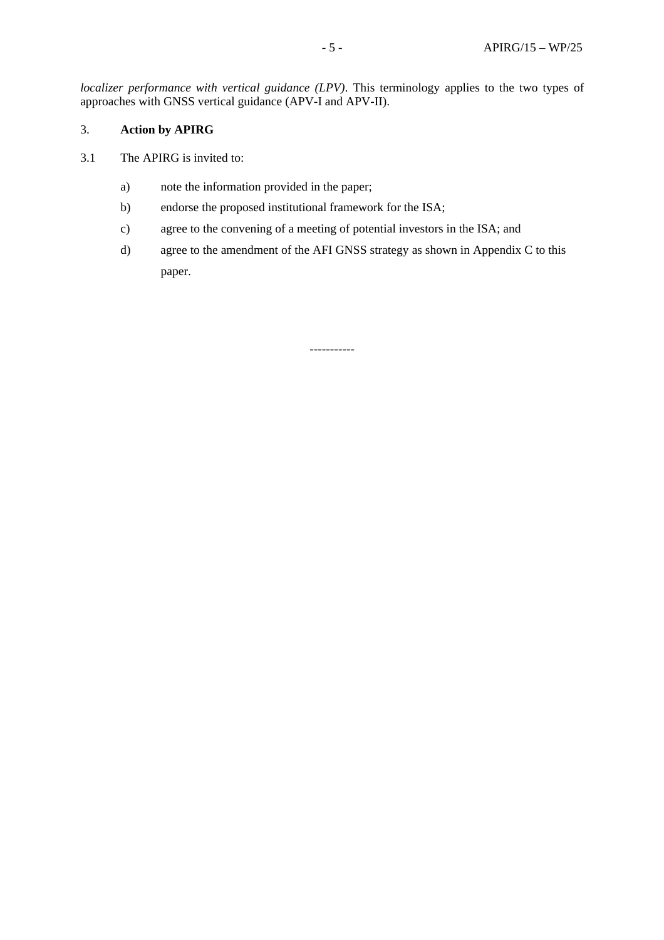*localizer performance with vertical guidance (LPV)*. This terminology applies to the two types of approaches with GNSS vertical guidance (APV-I and APV-II).

#### 3. **Action by APIRG**

- 3.1 The APIRG is invited to:
	- a) note the information provided in the paper;
	- b) endorse the proposed institutional framework for the ISA;
	- c) agree to the convening of a meeting of potential investors in the ISA; and
	- d) agree to the amendment of the AFI GNSS strategy as shown in Appendix C to this paper.

-----------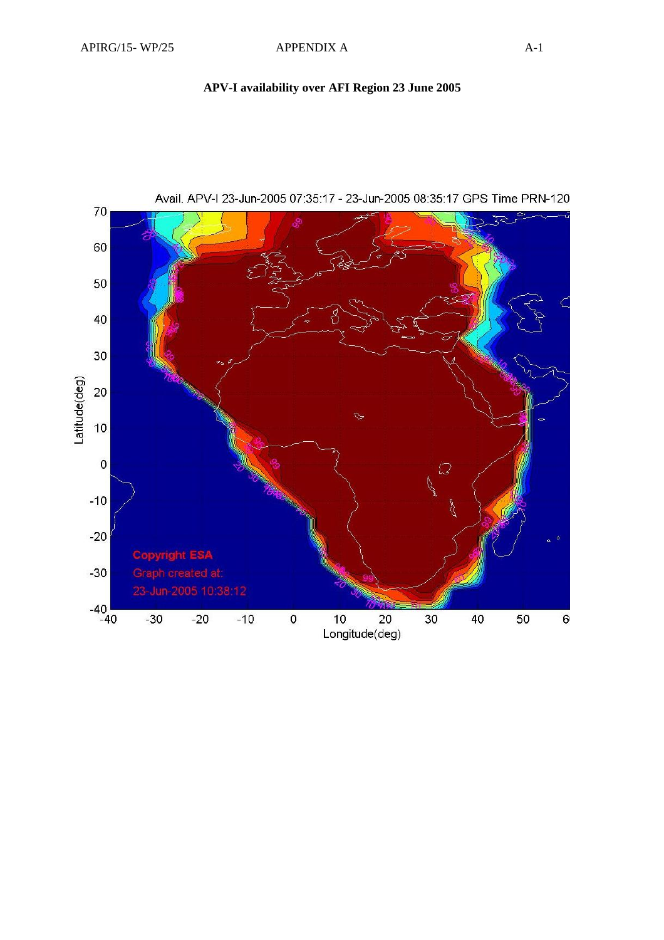### **APV-I availability over AFI Region 23 June 2005**

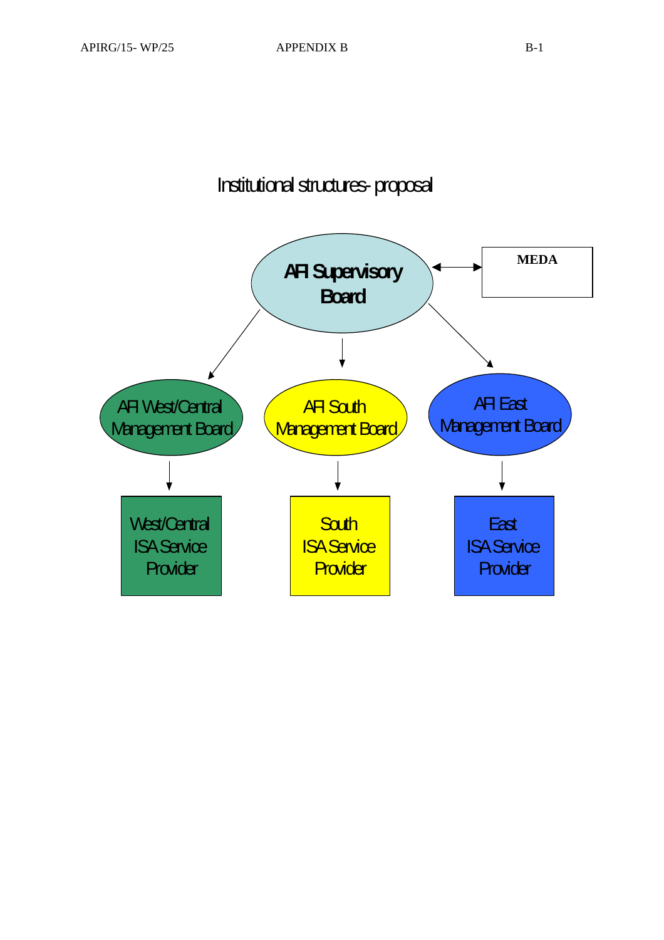# Institutional structures-proposal

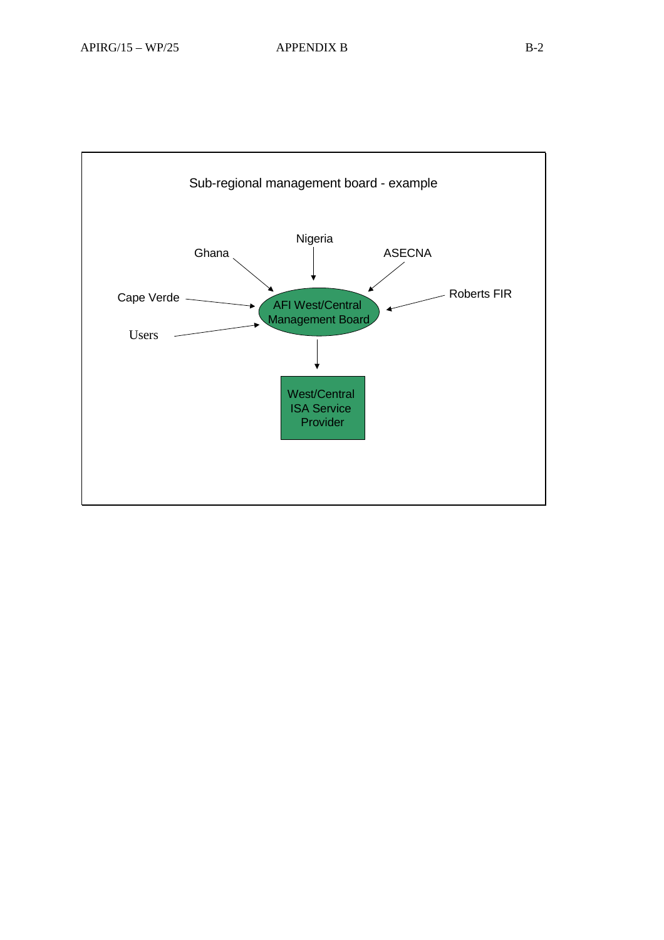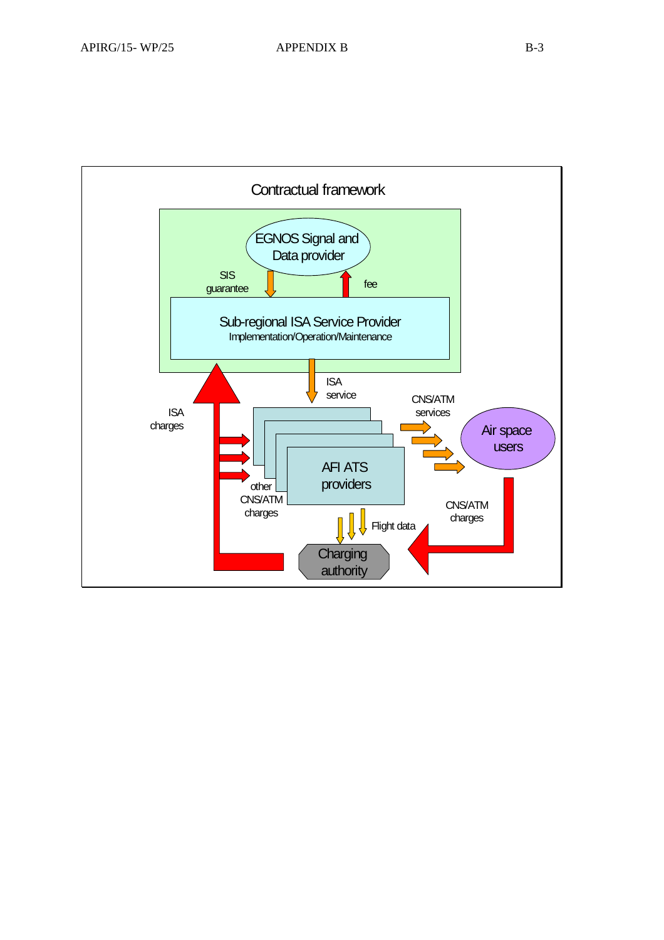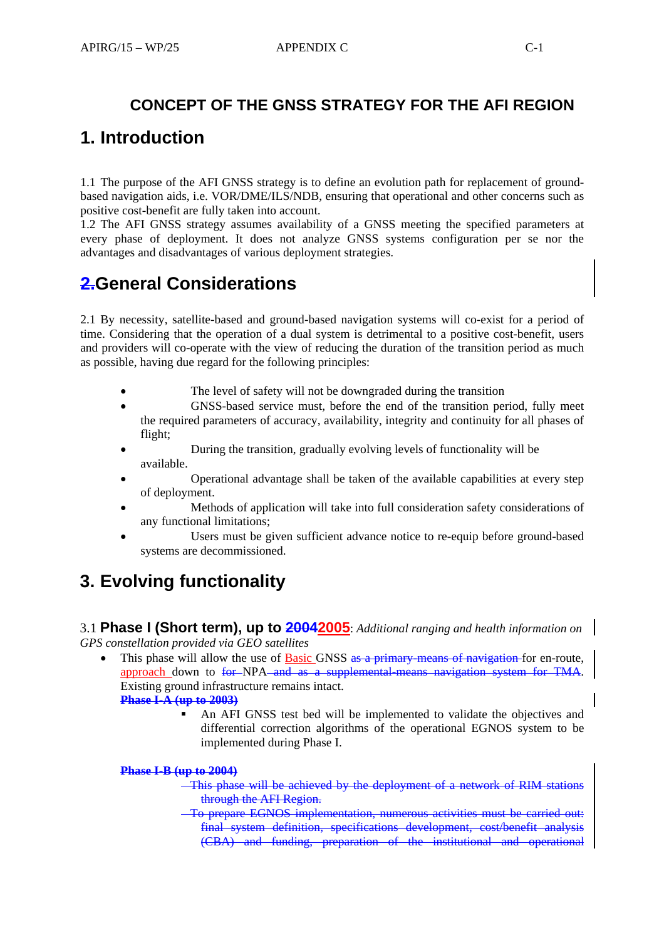### **CONCEPT OF THE GNSS STRATEGY FOR THE AFI REGION**

## **1. Introduction**

1.1 The purpose of the AFI GNSS strategy is to define an evolution path for replacement of groundbased navigation aids, i.e. VOR/DME/ILS/NDB, ensuring that operational and other concerns such as positive cost-benefit are fully taken into account.

1.2 The AFI GNSS strategy assumes availability of a GNSS meeting the specified parameters at every phase of deployment. It does not analyze GNSS systems configuration per se nor the advantages and disadvantages of various deployment strategies.

## **2.General Considerations**

2.1 By necessity, satellite-based and ground-based navigation systems will co-exist for a period of time. Considering that the operation of a dual system is detrimental to a positive cost-benefit, users and providers will co-operate with the view of reducing the duration of the transition period as much as possible, having due regard for the following principles:

- The level of safety will not be downgraded during the transition
- GNSS-based service must, before the end of the transition period, fully meet the required parameters of accuracy, availability, integrity and continuity for all phases of flight;
- During the transition, gradually evolving levels of functionality will be available.
- Operational advantage shall be taken of the available capabilities at every step of deployment.
- Methods of application will take into full consideration safety considerations of any functional limitations;
- Users must be given sufficient advance notice to re-equip before ground-based systems are decommissioned.

# **3. Evolving functionality**

3.1 **Phase I (Short term), up to 20042005**: *Additional ranging and health information on GPS constellation provided via GEO satellites* 

- This phase will allow the use of Basic GNSS as a primary-means of navigation-for en-route, approach down to for NPA and as a supplemental means navigation system for TMA. Existing ground infrastructure remains intact. **Phase I-A (up to 2003)**
	- An AFI GNSS test bed will be implemented to validate the objectives and differential correction algorithms of the operational EGNOS system to be implemented during Phase I.

#### **Phase I-B (up to 2004)**

- This phase will be achieved by the deployment of a network of RIM stations through the AFI Region.
- To prepare EGNOS implementation, numerous activities must be carried out: final system definition, specifications development, cost/benefit analysis (CBA) and funding, preparation of the institutional and operational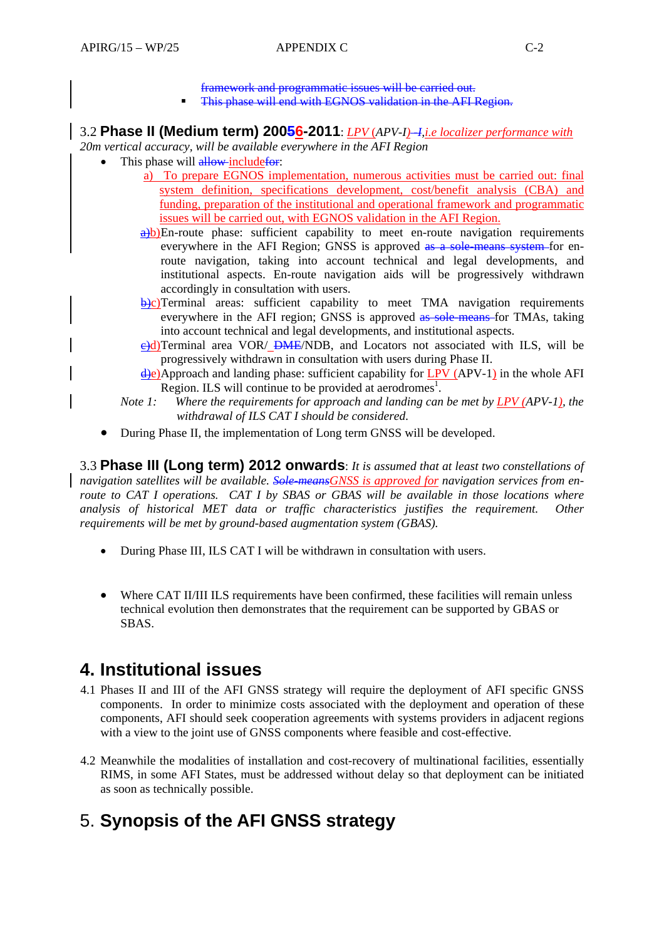framework and programmatic issues will be carried out.

**This phase will end with EGNOS validation in the AFI Region.** 

### 3.2 **Phase II (Medium term) 20056-2011**: *LPV* (*APV-I) -I,i.e localizer performance with*

*20m vertical accuracy, will be available everywhere in the AFI Region* 

- This phase will allow include for:
	- a) To prepare EGNOS implementation, numerous activities must be carried out: final system definition, specifications development, cost/benefit analysis (CBA) and funding, preparation of the institutional and operational framework and programmatic issues will be carried out, with EGNOS validation in the AFI Region.
	- $\frac{a}{b}$ b) En-route phase: sufficient capability to meet en-route navigation requirements everywhere in the AFI Region; GNSS is approved as a sole-means system-for enroute navigation, taking into account technical and legal developments, and institutional aspects. En-route navigation aids will be progressively withdrawn accordingly in consultation with users.
	- $\overrightarrow{b}$ ) C) Terminal areas: sufficient capability to meet TMA navigation requirements everywhere in the AFI region; GNSS is approved as sole-means for TMAs, taking into account technical and legal developments, and institutional aspects.
	- e)d) Terminal area VOR/ DME/NDB, and Locators not associated with ILS, will be progressively withdrawn in consultation with users during Phase II.
	- d)e) Approach and landing phase: sufficient capability for LPV (APV-1) in the whole AFI Region. ILS will continue to be provided at aerodromes<sup>1</sup>.
	- *Note 1: Where the requirements for approach and landing can be met by LPV (APV-1), the withdrawal of ILS CAT I should be considered.*
- During Phase II, the implementation of Long term GNSS will be developed.

3.3 **Phase III (Long term) 2012 onwards**: *It is assumed that at least two constellations of navigation satellites will be available. Sole-meansGNSS is approved for navigation services from enroute to CAT I operations. CAT I by SBAS or GBAS will be available in those locations where analysis of historical MET data or traffic characteristics justifies the requirement. Other requirements will be met by ground-based augmentation system (GBAS).*

- During Phase III, ILS CAT I will be withdrawn in consultation with users.
- Where CAT II/III ILS requirements have been confirmed, these facilities will remain unless technical evolution then demonstrates that the requirement can be supported by GBAS or SBAS.

## **4. Institutional issues**

- 4.1 Phases II and III of the AFI GNSS strategy will require the deployment of AFI specific GNSS components. In order to minimize costs associated with the deployment and operation of these components, AFI should seek cooperation agreements with systems providers in adjacent regions with a view to the joint use of GNSS components where feasible and cost-effective.
- 4.2 Meanwhile the modalities of installation and cost-recovery of multinational facilities, essentially RIMS, in some AFI States, must be addressed without delay so that deployment can be initiated as soon as technically possible.

# 5. **Synopsis of the AFI GNSS strategy**